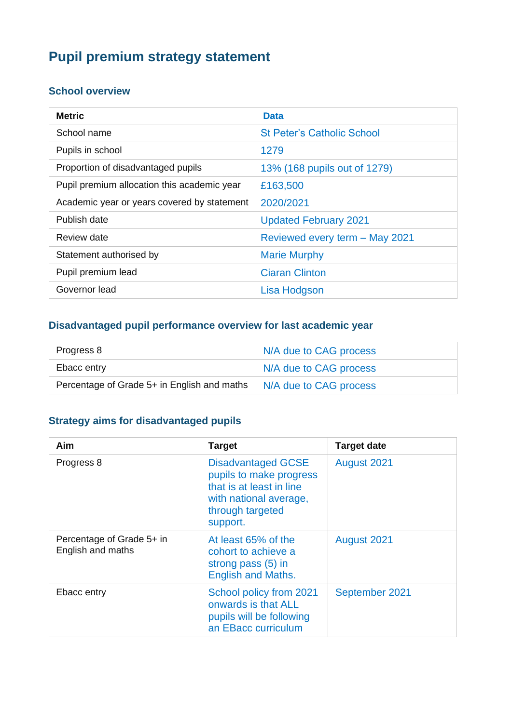# **Pupil premium strategy statement**

#### **School overview**

| <b>Metric</b>                               | <b>Data</b>                       |
|---------------------------------------------|-----------------------------------|
| School name                                 | <b>St Peter's Catholic School</b> |
| Pupils in school                            | 1279                              |
| Proportion of disadvantaged pupils          | 13% (168 pupils out of 1279)      |
| Pupil premium allocation this academic year | £163,500                          |
| Academic year or years covered by statement | 2020/2021                         |
| Publish date                                | <b>Updated February 2021</b>      |
| Review date                                 | Reviewed every term - May 2021    |
| Statement authorised by                     | <b>Marie Murphy</b>               |
| Pupil premium lead                          | <b>Ciaran Clinton</b>             |
| Governor lead                               | Lisa Hodgson                      |

#### **Disadvantaged pupil performance overview for last academic year**

| Progress 8                                  | N/A due to CAG process |
|---------------------------------------------|------------------------|
| Ebacc entry                                 | N/A due to CAG process |
| Percentage of Grade 5+ in English and maths | N/A due to CAG process |

### **Strategy aims for disadvantaged pupils**

| Aim                                            | <b>Target</b>                                                                                                                              | <b>Target date</b> |
|------------------------------------------------|--------------------------------------------------------------------------------------------------------------------------------------------|--------------------|
| Progress 8                                     | <b>Disadvantaged GCSE</b><br>pupils to make progress<br>that is at least in line<br>with national average,<br>through targeted<br>support. | August 2021        |
| Percentage of Grade 5+ in<br>English and maths | At least 65% of the<br>cohort to achieve a<br>strong pass (5) in<br><b>English and Maths.</b>                                              | August 2021        |
| Ebacc entry                                    | School policy from 2021<br>onwards is that ALL<br>pupils will be following<br>an EBacc curriculum                                          | September 2021     |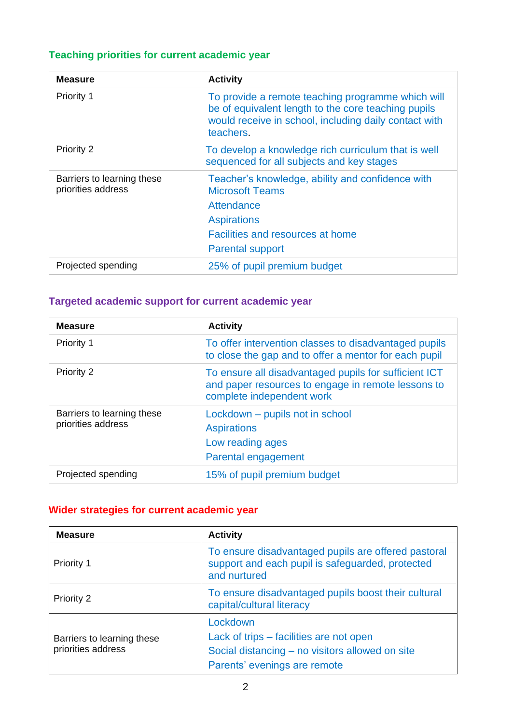## **Teaching priorities for current academic year**

| <b>Measure</b>                                   | <b>Activity</b>                                                                                                                                                                |
|--------------------------------------------------|--------------------------------------------------------------------------------------------------------------------------------------------------------------------------------|
| Priority 1                                       | To provide a remote teaching programme which will<br>be of equivalent length to the core teaching pupils<br>would receive in school, including daily contact with<br>teachers. |
| Priority 2                                       | To develop a knowledge rich curriculum that is well<br>sequenced for all subjects and key stages                                                                               |
| Barriers to learning these<br>priorities address | Teacher's knowledge, ability and confidence with<br><b>Microsoft Teams</b><br>Attendance<br><b>Aspirations</b><br>Facilities and resources at home<br><b>Parental support</b>  |
| Projected spending                               | 25% of pupil premium budget                                                                                                                                                    |

## **Targeted academic support for current academic year**

| <b>Measure</b>                                   | <b>Activity</b>                                                                                                                          |  |
|--------------------------------------------------|------------------------------------------------------------------------------------------------------------------------------------------|--|
| Priority 1                                       | To offer intervention classes to disadvantaged pupils<br>to close the gap and to offer a mentor for each pupil                           |  |
| <b>Priority 2</b>                                | To ensure all disadvantaged pupils for sufficient ICT<br>and paper resources to engage in remote lessons to<br>complete independent work |  |
| Barriers to learning these<br>priorities address | Lockdown – pupils not in school<br><b>Aspirations</b><br>Low reading ages<br>Parental engagement                                         |  |
| Projected spending                               | 15% of pupil premium budget                                                                                                              |  |

### **Wider strategies for current academic year**

| <b>Measure</b>                                   | <b>Activity</b>                                                                                                                        |
|--------------------------------------------------|----------------------------------------------------------------------------------------------------------------------------------------|
| Priority 1                                       | To ensure disadvantaged pupils are offered pastoral<br>support and each pupil is safeguarded, protected<br>and nurtured                |
| Priority 2                                       | To ensure disadvantaged pupils boost their cultural<br>capital/cultural literacy                                                       |
| Barriers to learning these<br>priorities address | Lockdown<br>Lack of trips – facilities are not open<br>Social distancing – no visitors allowed on site<br>Parents' evenings are remote |